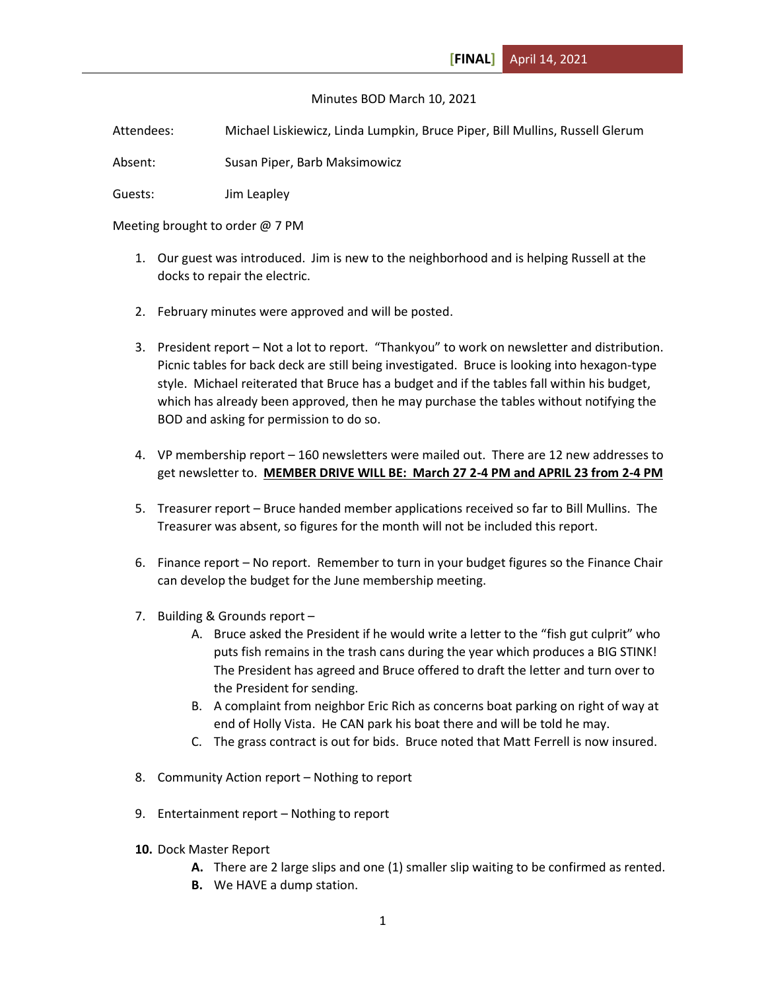## Minutes BOD March 10, 2021

Attendees: Michael Liskiewicz, Linda Lumpkin, Bruce Piper, Bill Mullins, Russell Glerum

Absent: Susan Piper, Barb Maksimowicz

Guests: Jim Leapley

Meeting brought to order @ 7 PM

- 1. Our guest was introduced. Jim is new to the neighborhood and is helping Russell at the docks to repair the electric.
- 2. February minutes were approved and will be posted.
- 3. President report Not a lot to report. "Thankyou" to work on newsletter and distribution. Picnic tables for back deck are still being investigated. Bruce is looking into hexagon-type style. Michael reiterated that Bruce has a budget and if the tables fall within his budget, which has already been approved, then he may purchase the tables without notifying the BOD and asking for permission to do so.
- 4. VP membership report 160 newsletters were mailed out. There are 12 new addresses to get newsletter to. **MEMBER DRIVE WILL BE: March 27 2-4 PM and APRIL 23 from 2-4 PM**
- 5. Treasurer report Bruce handed member applications received so far to Bill Mullins. The Treasurer was absent, so figures for the month will not be included this report.
- 6. Finance report No report. Remember to turn in your budget figures so the Finance Chair can develop the budget for the June membership meeting.
- 7. Building & Grounds report
	- A. Bruce asked the President if he would write a letter to the "fish gut culprit" who puts fish remains in the trash cans during the year which produces a BIG STINK! The President has agreed and Bruce offered to draft the letter and turn over to the President for sending.
	- B. A complaint from neighbor Eric Rich as concerns boat parking on right of way at end of Holly Vista. He CAN park his boat there and will be told he may.
	- C. The grass contract is out for bids. Bruce noted that Matt Ferrell is now insured.
- 8. Community Action report Nothing to report
- 9. Entertainment report Nothing to report
- **10.** Dock Master Report
	- **A.** There are 2 large slips and one (1) smaller slip waiting to be confirmed as rented.
	- **B.** We HAVE a dump station.